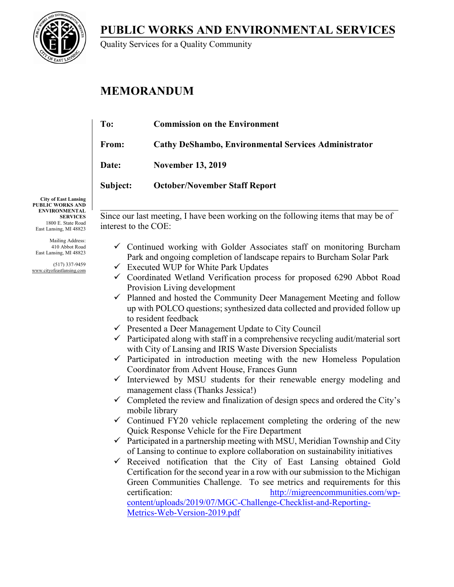**PUBLIC WORKS AND ENVIRONMENTAL SERVICES**



Quality Services for a Quality Community

# **MEMORANDUM**

| To:          | <b>Commission on the Environment</b>                        |
|--------------|-------------------------------------------------------------|
| From:        | <b>Cathy DeShambo, Environmental Services Administrator</b> |
| <b>Date:</b> | <b>November 13, 2019</b>                                    |
| Subject:     | <b>October/November Staff Report</b>                        |
|              |                                                             |

**City of East Lansing PUBLIC WORKS AND ENVIRONMENTAL SERVICES** 1800 E. State Road East Lansing, MI 48823

Mailing Address: 410 Abbot Road East Lansing, MI 48823

(517) 337-9459 www.cityofeastlansing.com Since our last meeting, I have been working on the following items that may be of interest to the COE:

- $\checkmark$  Continued working with Golder Associates staff on monitoring Burcham Park and ongoing completion of landscape repairs to Burcham Solar Park
- $\checkmark$  Executed WUP for White Park Updates
- $\checkmark$  Coordinated Wetland Verification process for proposed 6290 Abbot Road Provision Living development
- $\checkmark$  Planned and hosted the Community Deer Management Meeting and follow up with POLCO questions; synthesized data collected and provided follow up to resident feedback
- $\checkmark$  Presented a Deer Management Update to City Council
- $\checkmark$  Participated along with staff in a comprehensive recycling audit/material sort with City of Lansing and IRIS Waste Diversion Specialists
- $\checkmark$  Participated in introduction meeting with the new Homeless Population Coordinator from Advent House, Frances Gunn
- $\checkmark$  Interviewed by MSU students for their renewable energy modeling and management class (Thanks Jessica!)
- $\checkmark$  Completed the review and finalization of design specs and ordered the City's mobile library
- $\checkmark$  Continued FY20 vehicle replacement completing the ordering of the new Quick Response Vehicle for the Fire Department
- $\checkmark$  Participated in a partnership meeting with MSU, Meridian Township and City of Lansing to continue to explore collaboration on sustainability initiatives
- $\checkmark$  Received notification that the City of East Lansing obtained Gold Certification for the second year in a row with our submission to the Michigan Green Communities Challenge. To see metrics and requirements for this certification: [http://migreencommunities.com/wp](http://migreencommunities.com/wp-content/uploads/2019/07/MGC-Challenge-Checklist-and-Reporting-Metrics-Web-Version-2019.pdf)[content/uploads/2019/07/MGC-Challenge-Checklist-and-Reporting-](http://migreencommunities.com/wp-content/uploads/2019/07/MGC-Challenge-Checklist-and-Reporting-Metrics-Web-Version-2019.pdf)[Metrics-Web-Version-2019.pdf](http://migreencommunities.com/wp-content/uploads/2019/07/MGC-Challenge-Checklist-and-Reporting-Metrics-Web-Version-2019.pdf)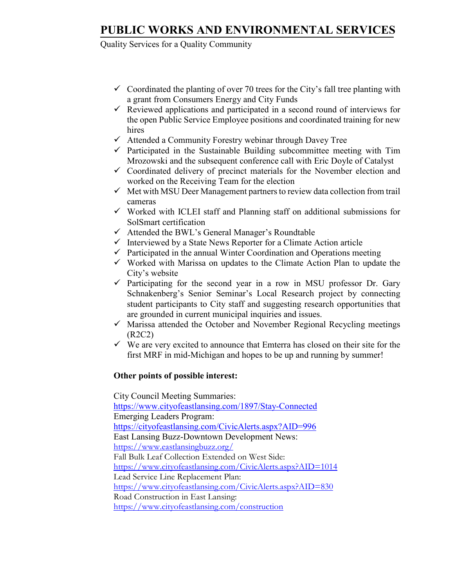## **PUBLIC WORKS AND ENVIRONMENTAL SERVICES**

## Quality Services for a Quality Community

- $\checkmark$  Coordinated the planting of over 70 trees for the City's fall tree planting with a grant from Consumers Energy and City Funds
- $\checkmark$  Reviewed applications and participated in a second round of interviews for the open Public Service Employee positions and coordinated training for new hires
- $\checkmark$  Attended a Community Forestry webinar through Davey Tree
- $\checkmark$  Participated in the Sustainable Building subcommittee meeting with Tim Mrozowski and the subsequent conference call with Eric Doyle of Catalyst
- $\checkmark$  Coordinated delivery of precinct materials for the November election and worked on the Receiving Team for the election
- $\checkmark$  Met with MSU Deer Management partners to review data collection from trail cameras
- $\checkmark$  Worked with ICLEI staff and Planning staff on additional submissions for SolSmart certification
- $\checkmark$  Attended the BWL's General Manager's Roundtable
- $\checkmark$  Interviewed by a State News Reporter for a Climate Action article
- $\checkmark$  Participated in the annual Winter Coordination and Operations meeting
- $\checkmark$  Worked with Marissa on updates to the Climate Action Plan to update the City's website
- $\checkmark$  Participating for the second year in a row in MSU professor Dr. Gary Schnakenberg's Senior Seminar's Local Research project by connecting student participants to City staff and suggesting research opportunities that are grounded in current municipal inquiries and issues.
- $\checkmark$  Marissa attended the October and November Regional Recycling meetings (R2C2)
- $\checkmark$  We are very excited to announce that Emterra has closed on their site for the first MRF in mid-Michigan and hopes to be up and running by summer!

### **Other points of possible interest:**

 City Council Meeting Summaries: <https://www.cityofeastlansing.com/1897/Stay-Connected> Emerging Leaders Program: <https://cityofeastlansing.com/CivicAlerts.aspx?AID=996> East Lansing Buzz-Downtown Development News: <https://www.eastlansingbuzz.org/> Fall Bulk Leaf Collection Extended on West Side: <https://www.cityofeastlansing.com/CivicAlerts.aspx?AID=1014> Lead Service Line Replacement Plan: <https://www.cityofeastlansing.com/CivicAlerts.aspx?AID=830> Road Construction in East Lansing: <https://www.cityofeastlansing.com/construction>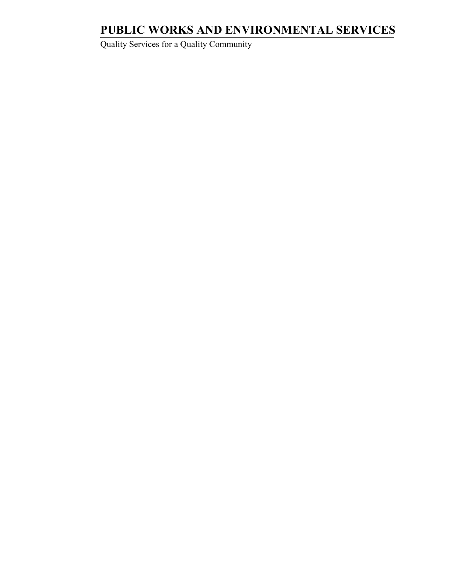# **PUBLIC WORKS AND ENVIRONMENTAL SERVICES**

Quality Services for a Quality Community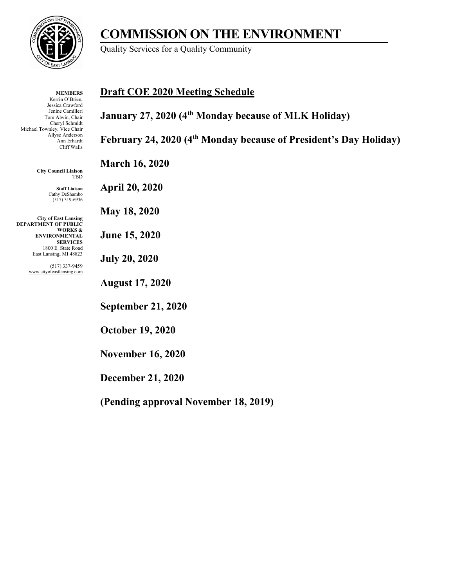

**MEMBERS** Kerrin O'Brien, Jessica Crawford Jenine Camilleri Tom Alwin, Chair Cheryl Schmidt Michael Townley, Vice Chair Allyse Anderson Ann Erhardt Cliff Walls

> **City Council Liaison** TBD

> > **Staff Liaison** Cathy DeShambo (517) 319-6936

**City of East Lansing DEPARTMENT OF PUBLIC WORKS & ENVIRONMENTAL SERVICES** 1800 E. State Road East Lansing, MI 48823

> (517) 337-9459 www.cityofeastlansing.com

## **COMMISSION ON THE ENVIRONMENT**

Quality Services for a Quality Community

## **Draft COE 2020 Meeting Schedule**

**January 27, 2020 (4th Monday because of MLK Holiday)** 

**February 24, 2020 (4th Monday because of President's Day Holiday)**

**March 16, 2020**

**April 20, 2020**

**May 18, 2020**

**June 15, 2020**

**July 20, 2020**

**August 17, 2020**

**September 21, 2020**

**October 19, 2020**

**November 16, 2020**

**December 21, 2020**

**(Pending approval November 18, 2019)**